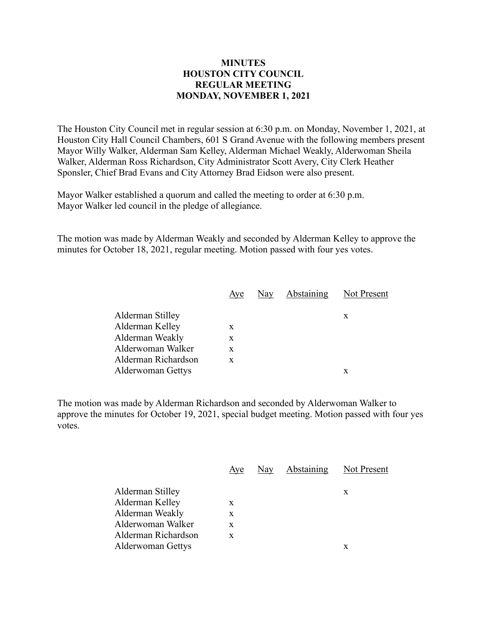## **MINUTES HOUSTON CITY COUNCIL REGULAR MEETING MONDAY, NOVEMBER 1, 2021**

The Houston City Council met in regular session at 6:30 p.m. on Monday, November 1, 2021, at Houston City Hall Council Chambers, 601 S Grand Avenue with the following members present Mayor Willy Walker, Alderman Sam Kelley, Alderman Michael Weakly, Alderwoman Sheila Walker, Alderman Ross Richardson, City Administrator Scott Avery, City Clerk Heather Sponsler, Chief Brad Evans and City Attorney Brad Eidson were also present.

Mayor Walker established a quorum and called the meeting to order at 6:30 p.m. Mayor Walker led council in the pledge of allegiance.

The motion was made by Alderman Weakly and seconded by Alderman Kelley to approve the minutes for October 18, 2021, regular meeting. Motion passed with four yes votes.

|                     | Aye | Nay | Abstaining | Not Present |
|---------------------|-----|-----|------------|-------------|
| Alderman Stilley    |     |     |            | X           |
| Alderman Kelley     | X   |     |            |             |
| Alderman Weakly     | X   |     |            |             |
| Alderwoman Walker   | X   |     |            |             |
| Alderman Richardson | X   |     |            |             |
| Alderwoman Gettys   |     |     |            | x           |
|                     |     |     |            |             |

The motion was made by Alderman Richardson and seconded by Alderwoman Walker to approve the minutes for October 19, 2021, special budget meeting. Motion passed with four yes votes.

|                          | Aye | Nay | <b>Abstaining</b> Not Present |   |
|--------------------------|-----|-----|-------------------------------|---|
| Alderman Stilley         |     |     |                               | X |
| Alderman Kelley          | X   |     |                               |   |
| Alderman Weakly          | X   |     |                               |   |
| Alderwoman Walker        | X   |     |                               |   |
| Alderman Richardson      | X   |     |                               |   |
| <b>Alderwoman Gettys</b> |     |     |                               | X |
|                          |     |     |                               |   |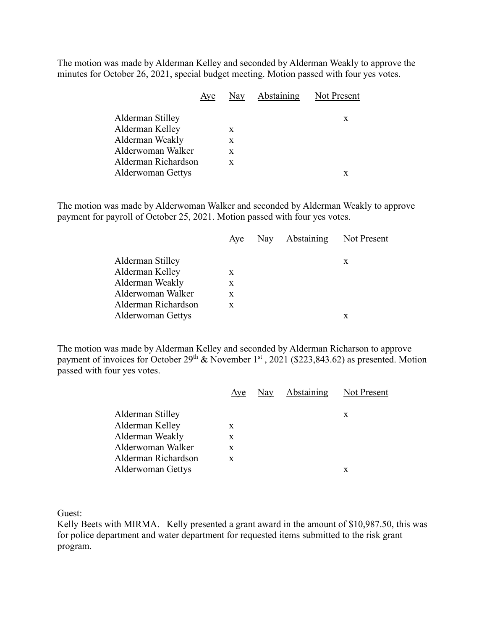The motion was made by Alderman Kelley and seconded by Alderman Weakly to approve the minutes for October 26, 2021, special budget meeting. Motion passed with four yes votes.

|                     | Aye |   | Nay Abstaining Not Present |
|---------------------|-----|---|----------------------------|
| Alderman Stilley    |     |   | X                          |
| Alderman Kelley     |     | X |                            |
| Alderman Weakly     |     | X |                            |
| Alderwoman Walker   |     | X |                            |
| Alderman Richardson |     | X |                            |
| Alderwoman Gettys   |     |   | x                          |
|                     |     |   |                            |

The motion was made by Alderwoman Walker and seconded by Alderman Weakly to approve payment for payroll of October 25, 2021. Motion passed with four yes votes.

|                     | Aye | Nay | Abstaining Not Present |   |
|---------------------|-----|-----|------------------------|---|
| Alderman Stilley    |     |     |                        | X |
| Alderman Kelley     | X   |     |                        |   |
| Alderman Weakly     | X   |     |                        |   |
| Alderwoman Walker   | X   |     |                        |   |
| Alderman Richardson | X   |     |                        |   |
| Alderwoman Gettys   |     |     |                        | x |
|                     |     |     |                        |   |

The motion was made by Alderman Kelley and seconded by Alderman Richarson to approve payment of invoices for October  $29^{th}$  & November 1<sup>st</sup>, 2021 (\$223,843.62) as presented. Motion passed with four yes votes.

|                          |   | <u>Aye</u> Nay Abstaining Not Present |   |
|--------------------------|---|---------------------------------------|---|
| Alderman Stilley         |   |                                       | X |
| Alderman Kelley          | X |                                       |   |
| Alderman Weakly          | X |                                       |   |
| Alderwoman Walker        | X |                                       |   |
| Alderman Richardson      | X |                                       |   |
| <b>Alderwoman Gettys</b> |   |                                       | x |
|                          |   |                                       |   |

Guest:

Kelly Beets with MIRMA. Kelly presented a grant award in the amount of \$10,987.50, this was for police department and water department for requested items submitted to the risk grant program.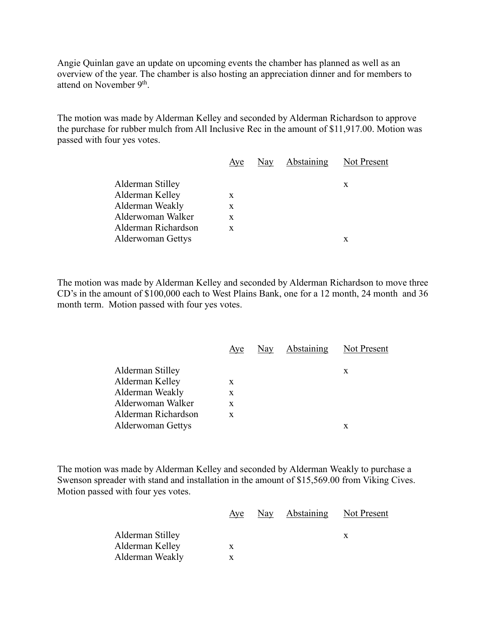Angie Quinlan gave an update on upcoming events the chamber has planned as well as an overview of the year. The chamber is also hosting an appreciation dinner and for members to attend on November 9<sup>th</sup>.

The motion was made by Alderman Kelley and seconded by Alderman Richardson to approve the purchase for rubber mulch from All Inclusive Rec in the amount of \$11,917.00. Motion was passed with four yes votes.

|                          | Aye | Nay | Abstaining | Not Present |
|--------------------------|-----|-----|------------|-------------|
| Alderman Stilley         |     |     |            | X           |
| Alderman Kelley          | X   |     |            |             |
| Alderman Weakly          | X   |     |            |             |
| Alderwoman Walker        | X   |     |            |             |
| Alderman Richardson      | X   |     |            |             |
| <b>Alderwoman Gettys</b> |     |     |            | x           |

The motion was made by Alderman Kelley and seconded by Alderman Richardson to move three CD's in the amount of \$100,000 each to West Plains Bank, one for a 12 month, 24 month and 36 month term. Motion passed with four yes votes.

|                          | Aye | Nay Abstaining | Not Present |
|--------------------------|-----|----------------|-------------|
| Alderman Stilley         |     |                | X           |
| Alderman Kelley          | X   |                |             |
| Alderman Weakly          | X   |                |             |
| Alderwoman Walker        | X   |                |             |
| Alderman Richardson      | X   |                |             |
| <b>Alderwoman Gettys</b> |     |                | х           |

The motion was made by Alderman Kelley and seconded by Alderman Weakly to purchase a Swenson spreader with stand and installation in the amount of \$15,569.00 from Viking Cives. Motion passed with four yes votes.

|                  | Aye | <u>Nay</u> Abstaining Not Present |  |
|------------------|-----|-----------------------------------|--|
| Alderman Stilley |     |                                   |  |
| Alderman Kelley  | x   |                                   |  |
| Alderman Weakly  |     |                                   |  |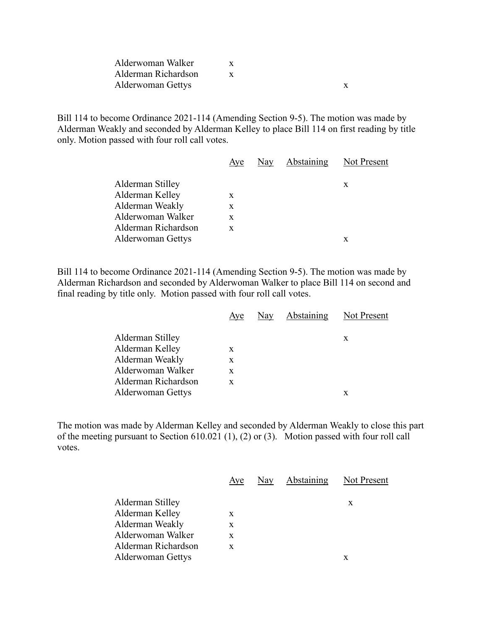| Alderwoman Walker   |  |  |
|---------------------|--|--|
| Alderman Richardson |  |  |
| Alderwoman Gettys   |  |  |

Bill 114 to become Ordinance 2021-114 (Amending Section 9-5). The motion was made by Alderman Weakly and seconded by Alderman Kelley to place Bill 114 on first reading by title only. Motion passed with four roll call votes.

|                          | Aye | Nay | Abstaining | Not Present |
|--------------------------|-----|-----|------------|-------------|
| Alderman Stilley         |     |     |            | X           |
| Alderman Kelley          | X   |     |            |             |
| Alderman Weakly          | X   |     |            |             |
| Alderwoman Walker        | X   |     |            |             |
| Alderman Richardson      | X   |     |            |             |
| <b>Alderwoman Gettys</b> |     |     |            |             |

Bill 114 to become Ordinance 2021-114 (Amending Section 9-5). The motion was made by Alderman Richardson and seconded by Alderwoman Walker to place Bill 114 on second and final reading by title only. Motion passed with four roll call votes.

|                          | Aye | Nay | Abstaining | Not Present |
|--------------------------|-----|-----|------------|-------------|
| Alderman Stilley         |     |     |            | X           |
| Alderman Kelley          | X   |     |            |             |
| Alderman Weakly          | X   |     |            |             |
| Alderwoman Walker        | X   |     |            |             |
| Alderman Richardson      | X   |     |            |             |
| <b>Alderwoman Gettys</b> |     |     |            | x           |
|                          |     |     |            |             |

The motion was made by Alderman Kelley and seconded by Alderman Weakly to close this part of the meeting pursuant to Section 610.021 (1), (2) or (3). Motion passed with four roll call votes.

|                          | Aye | Nay | Abstaining | <b>Not Present</b> |
|--------------------------|-----|-----|------------|--------------------|
| Alderman Stilley         |     |     |            | X                  |
| Alderman Kelley          | X   |     |            |                    |
| Alderman Weakly          | X   |     |            |                    |
| Alderwoman Walker        | X   |     |            |                    |
| Alderman Richardson      | X   |     |            |                    |
| <b>Alderwoman Gettys</b> |     |     |            | х                  |